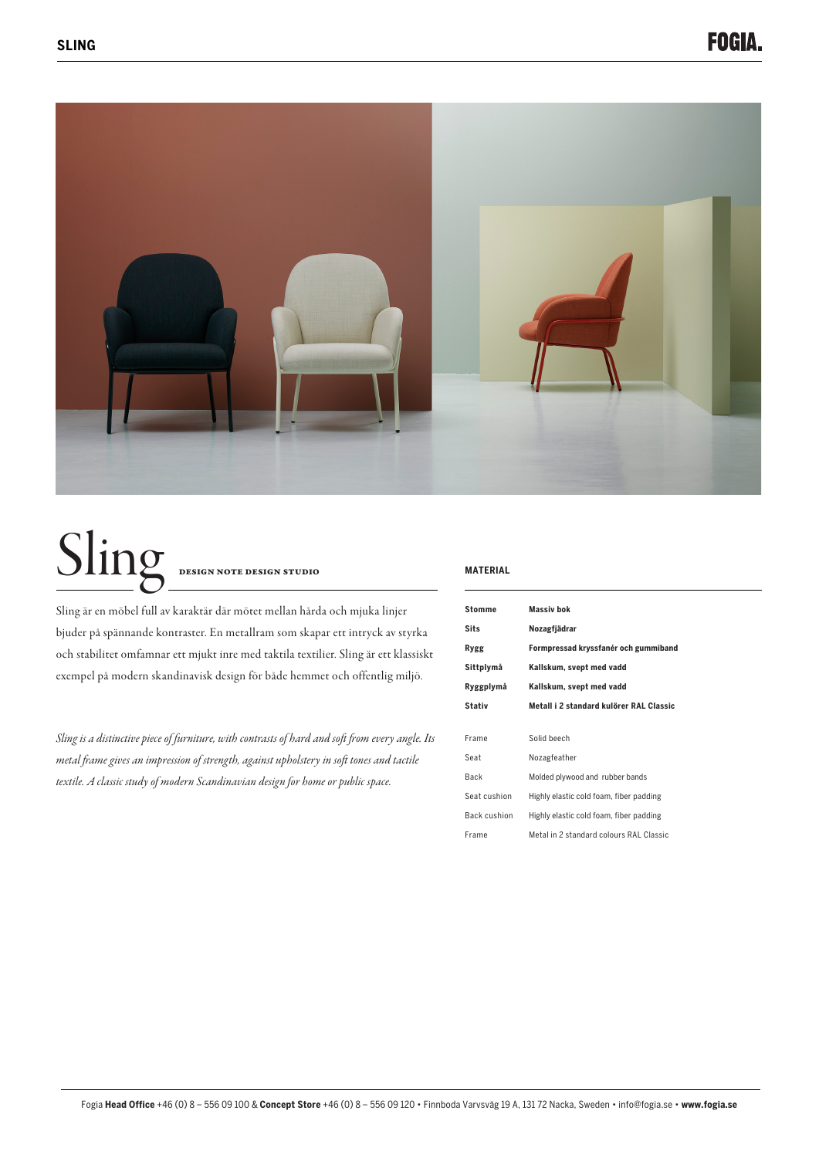

# Sling DESIGN NOTE DESIGN STUDIO

Sling är en möbel full av karaktär där mötet mellan hårda och mjuka linjer bjuder på spännande kontraster. En metallram som skapar ett intryck av styrka och stabilitet omfamnar ett mjukt inre med taktila textilier. Sling är ett klassiskt exempel på modern skandinavisk design för både hemmet och offentlig miljö.

*Sling is a distinctive piece of furniture, with contrasts of hard and soft from every angle. Its metal frame gives an impression of strength, against upholstery in soft tones and tactile textile. A classic study of modern Scandinavian design for home or public space.*

#### **MATERIAL**

| <b>Stomme</b> | Massiv bok                              |
|---------------|-----------------------------------------|
| <b>Sits</b>   | Nozagfjädrar                            |
| Rygg          | Formpressad kryssfanér och gummiband    |
| Sittplymå     | Kallskum, svept med vadd                |
| Ryggplymå     | Kallskum, svept med vadd                |
| <b>Stativ</b> | Metall i 2 standard kulörer RAL Classic |
|               |                                         |
| Frame         | Solid beech                             |
| Seat          | Nozagfeather                            |
| Back          | Molded plywood and rubber bands         |
| Seat cushion  | Highly elastic cold foam, fiber padding |
| Back cushion  | Highly elastic cold foam, fiber padding |
| Frame         | Metal in 2 standard colours RAL Classic |